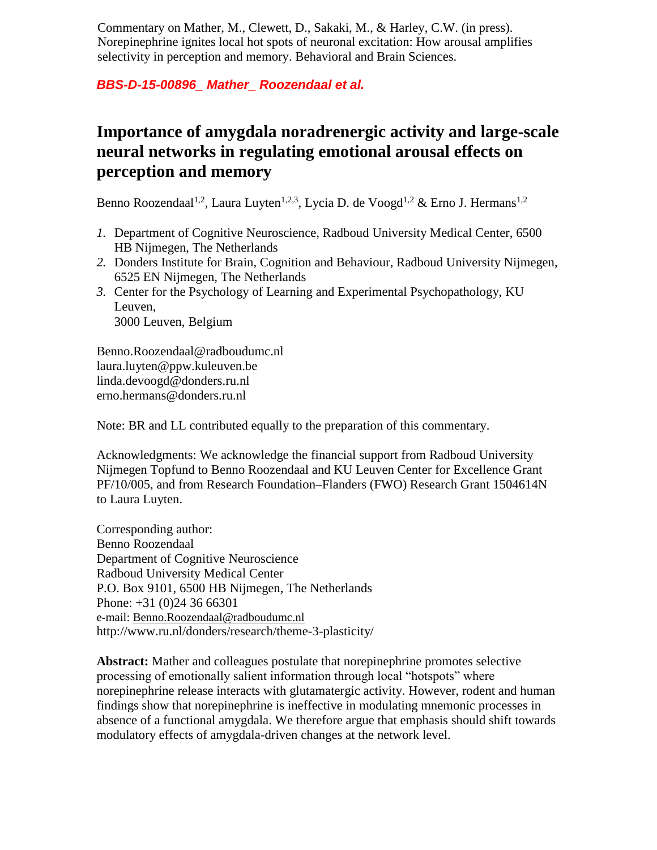Commentary on Mather, M., Clewett, D., Sakaki, M., & Harley, C.W. (in press). Norepinephrine ignites local hot spots of neuronal excitation: How arousal amplifies selectivity in perception and memory. Behavioral and Brain Sciences.

## *BBS-D-15-00896\_ Mather\_ Roozendaal et al.*

## **Importance of amygdala noradrenergic activity and large-scale neural networks in regulating emotional arousal effects on perception and memory**

Benno Roozendaal<sup>1,2</sup>, Laura Luyten<sup>1,2,3</sup>, Lycia D. de Voogd<sup>1,2</sup> & Erno J. Hermans<sup>1,2</sup>

- *1.* Department of Cognitive Neuroscience, Radboud University Medical Center, 6500 HB Nijmegen, The Netherlands
- *2.* Donders Institute for Brain, Cognition and Behaviour, Radboud University Nijmegen, 6525 EN Nijmegen, The Netherlands
- *3.* Center for the Psychology of Learning and Experimental Psychopathology, KU Leuven, 3000 Leuven, Belgium

Benno.Roozendaal@radboudumc.nl laura.luyten@ppw.kuleuven.be linda.devoogd@donders.ru.nl erno.hermans@donders.ru.nl

Note: BR and LL contributed equally to the preparation of this commentary.

Acknowledgments: We acknowledge the financial support from Radboud University Nijmegen Topfund to Benno Roozendaal and KU Leuven Center for Excellence Grant PF/10/005, and from Research Foundation–Flanders (FWO) Research Grant 1504614N to Laura Luyten.

Corresponding author: Benno Roozendaal Department of Cognitive Neuroscience Radboud University Medical Center P.O. Box 9101, 6500 HB Nijmegen, The Netherlands Phone: +31 (0)24 36 66301 e-mail: [Benno.Roozendaal@radboudumc.nl](mailto:Benno.Roozendaal@radboudumc.nl) http://www.ru.nl/donders/research/theme-3-plasticity/

**Abstract:** Mather and colleagues postulate that norepinephrine promotes selective processing of emotionally salient information through local "hotspots" where norepinephrine release interacts with glutamatergic activity. However, rodent and human findings show that norepinephrine is ineffective in modulating mnemonic processes in absence of a functional amygdala. We therefore argue that emphasis should shift towards modulatory effects of amygdala-driven changes at the network level.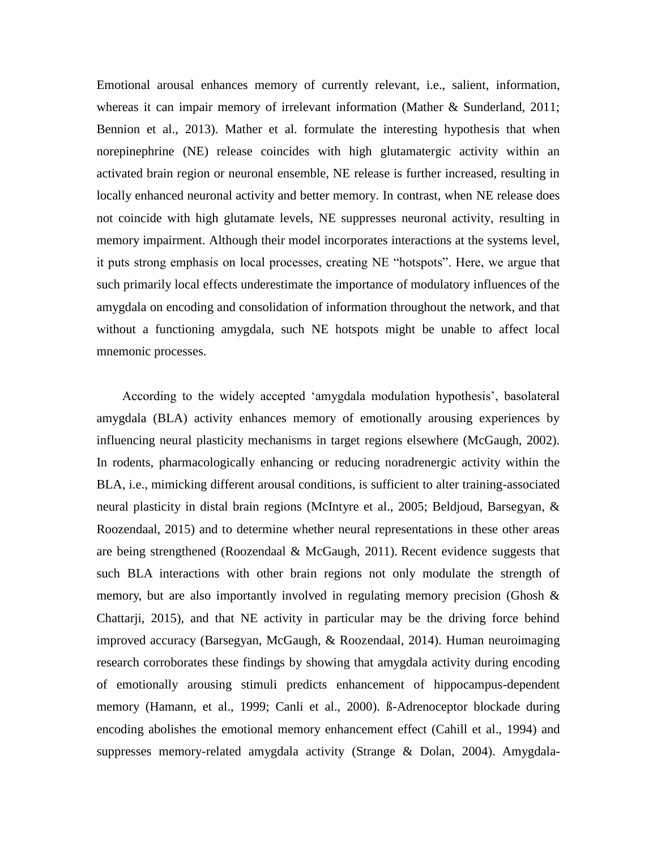Emotional arousal enhances memory of currently relevant, i.e., salient, information, whereas it can impair memory of irrelevant information (Mather & Sunderland, 2011; Bennion et al., 2013). Mather et al. formulate the interesting hypothesis that when norepinephrine (NE) release coincides with high glutamatergic activity within an activated brain region or neuronal ensemble, NE release is further increased, resulting in locally enhanced neuronal activity and better memory. In contrast, when NE release does not coincide with high glutamate levels, NE suppresses neuronal activity, resulting in memory impairment. Although their model incorporates interactions at the systems level, it puts strong emphasis on local processes, creating NE "hotspots". Here, we argue that such primarily local effects underestimate the importance of modulatory influences of the amygdala on encoding and consolidation of information throughout the network, and that without a functioning amygdala, such NE hotspots might be unable to affect local mnemonic processes.

According to the widely accepted 'amygdala modulation hypothesis', basolateral amygdala (BLA) activity enhances memory of emotionally arousing experiences by influencing neural plasticity mechanisms in target regions elsewhere (McGaugh, 2002). In rodents, pharmacologically enhancing or reducing noradrenergic activity within the BLA, i.e., mimicking different arousal conditions, is sufficient to alter training-associated neural plasticity in distal brain regions (McIntyre et al., 2005; Beldjoud, Barsegyan, & Roozendaal, 2015) and to determine whether neural representations in these other areas are being strengthened (Roozendaal & McGaugh, 2011). Recent evidence suggests that such BLA interactions with other brain regions not only modulate the strength of memory, but are also importantly involved in regulating memory precision (Ghosh & Chattarji, 2015), and that NE activity in particular may be the driving force behind improved accuracy (Barsegyan, McGaugh, & Roozendaal, 2014). Human neuroimaging research corroborates these findings by showing that amygdala activity during encoding of emotionally arousing stimuli predicts enhancement of hippocampus-dependent memory (Hamann, et al., 1999; Canli et al., 2000). ß-Adrenoceptor blockade during encoding abolishes the emotional memory enhancement effect (Cahill et al., 1994) and suppresses memory-related amygdala activity (Strange & Dolan, 2004). Amygdala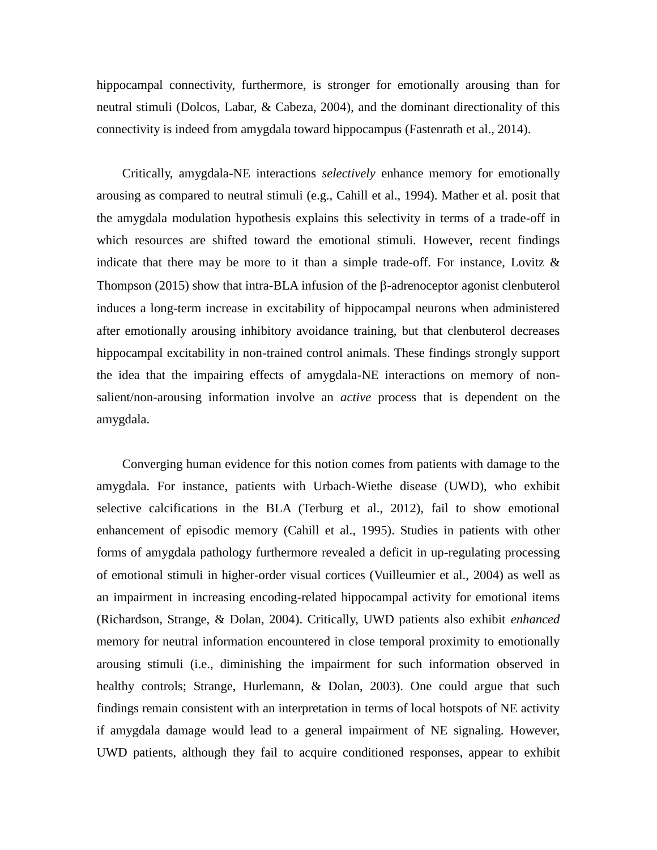hippocampal connectivity, furthermore, is stronger for emotionally arousing than for neutral stimuli (Dolcos, Labar, & Cabeza, 2004), and the dominant directionality of this connectivity is indeed from amygdala toward hippocampus (Fastenrath et al., 2014).

Critically, amygdala-NE interactions *selectively* enhance memory for emotionally arousing as compared to neutral stimuli (e.g., Cahill et al., 1994). Mather et al. posit that the amygdala modulation hypothesis explains this selectivity in terms of a trade-off in which resources are shifted toward the emotional stimuli. However, recent findings indicate that there may be more to it than a simple trade-off. For instance, Lovitz  $\&$ Thompson (2015) show that intra-BLA infusion of the  $\beta$ -adrenoceptor agonist clenbuterol induces a long-term increase in excitability of hippocampal neurons when administered after emotionally arousing inhibitory avoidance training, but that clenbuterol decreases hippocampal excitability in non-trained control animals. These findings strongly support the idea that the impairing effects of amygdala-NE interactions on memory of nonsalient/non-arousing information involve an *active* process that is dependent on the amygdala.

Converging human evidence for this notion comes from patients with damage to the amygdala. For instance, patients with Urbach-Wiethe disease (UWD), who exhibit selective calcifications in the BLA (Terburg et al., 2012), fail to show emotional enhancement of episodic memory (Cahill et al., 1995). Studies in patients with other forms of amygdala pathology furthermore revealed a deficit in up-regulating processing of emotional stimuli in higher-order visual cortices (Vuilleumier et al., 2004) as well as an impairment in increasing encoding-related hippocampal activity for emotional items (Richardson, Strange, & Dolan, 2004). Critically, UWD patients also exhibit *enhanced* memory for neutral information encountered in close temporal proximity to emotionally arousing stimuli (i.e., diminishing the impairment for such information observed in healthy controls; Strange, Hurlemann, & Dolan, 2003). One could argue that such findings remain consistent with an interpretation in terms of local hotspots of NE activity if amygdala damage would lead to a general impairment of NE signaling. However, UWD patients, although they fail to acquire conditioned responses, appear to exhibit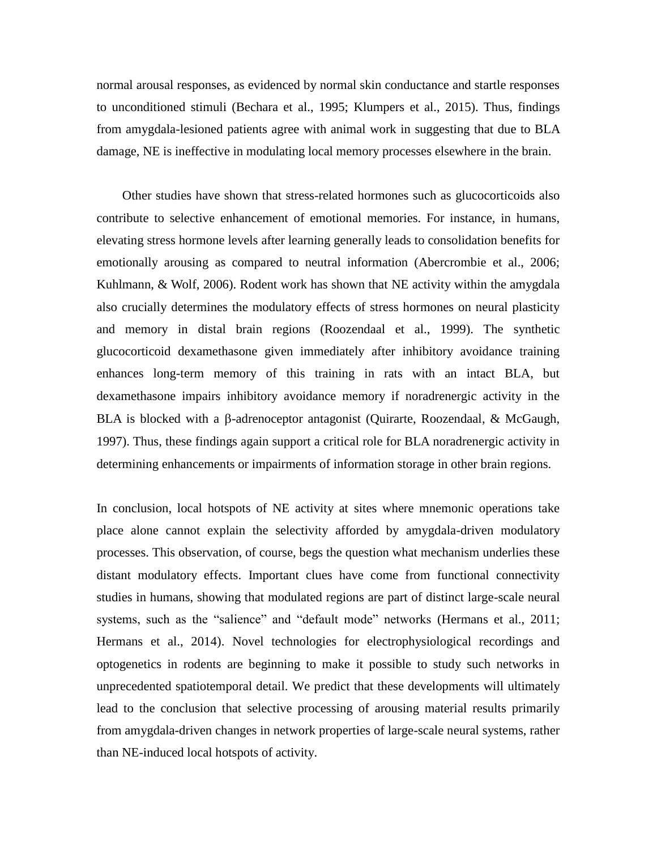normal arousal responses, as evidenced by normal skin conductance and startle responses to unconditioned stimuli (Bechara et al., 1995; Klumpers et al., 2015). Thus, findings from amygdala-lesioned patients agree with animal work in suggesting that due to BLA damage, NE is ineffective in modulating local memory processes elsewhere in the brain.

Other studies have shown that stress-related hormones such as glucocorticoids also contribute to selective enhancement of emotional memories. For instance, in humans, elevating stress hormone levels after learning generally leads to consolidation benefits for emotionally arousing as compared to neutral information (Abercrombie et al., 2006; Kuhlmann, & Wolf, 2006). Rodent work has shown that NE activity within the amygdala also crucially determines the modulatory effects of stress hormones on neural plasticity and memory in distal brain regions (Roozendaal et al., 1999). The synthetic glucocorticoid dexamethasone given immediately after inhibitory avoidance training enhances long-term memory of this training in rats with an intact BLA, but dexamethasone impairs inhibitory avoidance memory if noradrenergic activity in the BLA is blocked with a  $\beta$ -adrenoceptor antagonist (Quirarte, Roozendaal, & McGaugh, 1997). Thus, these findings again support a critical role for BLA noradrenergic activity in determining enhancements or impairments of information storage in other brain regions.

In conclusion, local hotspots of NE activity at sites where mnemonic operations take place alone cannot explain the selectivity afforded by amygdala-driven modulatory processes. This observation, of course, begs the question what mechanism underlies these distant modulatory effects. Important clues have come from functional connectivity studies in humans, showing that modulated regions are part of distinct large-scale neural systems, such as the "salience" and "default mode" networks (Hermans et al., 2011; Hermans et al., 2014). Novel technologies for electrophysiological recordings and optogenetics in rodents are beginning to make it possible to study such networks in unprecedented spatiotemporal detail. We predict that these developments will ultimately lead to the conclusion that selective processing of arousing material results primarily from amygdala-driven changes in network properties of large-scale neural systems, rather than NE-induced local hotspots of activity.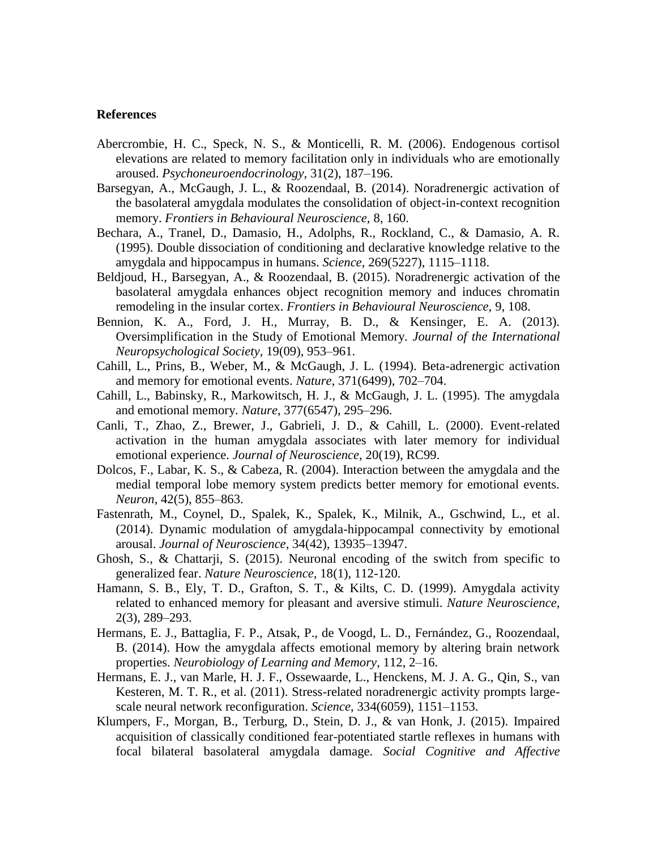## **References**

- Abercrombie, H. C., Speck, N. S., & Monticelli, R. M. (2006). Endogenous cortisol elevations are related to memory facilitation only in individuals who are emotionally aroused. *Psychoneuroendocrinology,* 31(2), 187–196.
- Barsegyan, A., McGaugh, J. L., & Roozendaal, B. (2014). Noradrenergic activation of the basolateral amygdala modulates the consolidation of object-in-context recognition memory. *Frontiers in Behavioural Neuroscience,* 8, 160.
- Bechara, A., Tranel, D., Damasio, H., Adolphs, R., Rockland, C., & Damasio, A. R. (1995). Double dissociation of conditioning and declarative knowledge relative to the amygdala and hippocampus in humans. *Science*, 269(5227), 1115–1118.
- Beldjoud, H., Barsegyan, A., & Roozendaal, B. (2015). Noradrenergic activation of the basolateral amygdala enhances object recognition memory and induces chromatin remodeling in the insular cortex. *Frontiers in Behavioural Neuroscience,* 9, 108.
- Bennion, K. A., Ford, J. H., Murray, B. D., & Kensinger, E. A. (2013). Oversimplification in the Study of Emotional Memory. *Journal of the International Neuropsychological Society,* 19(09), 953–961.
- Cahill, L., Prins, B., Weber, M., & McGaugh, J. L. (1994). Beta-adrenergic activation and memory for emotional events. *Nature*, 371(6499), 702–704.
- Cahill, L., Babinsky, R., Markowitsch, H. J., & McGaugh, J. L. (1995). The amygdala and emotional memory. *Nature*, 377(6547), 295–296.
- Canli, T., Zhao, Z., Brewer, J., Gabrieli, J. D., & Cahill, L. (2000). Event-related activation in the human amygdala associates with later memory for individual emotional experience. *Journal of Neuroscience*, 20(19), RC99.
- Dolcos, F., Labar, K. S., & Cabeza, R. (2004). Interaction between the amygdala and the medial temporal lobe memory system predicts better memory for emotional events. *Neuron*, 42(5), 855–863.
- Fastenrath, M., Coynel, D., Spalek, K., Spalek, K., Milnik, A., Gschwind, L., et al. (2014). Dynamic modulation of amygdala-hippocampal connectivity by emotional arousal. *Journal of Neuroscience*, 34(42), 13935–13947.
- Ghosh, S., & Chattarji, S. (2015). [Neuronal encoding of the switch from specific to](http://www.ncbi.nlm.nih.gov/pubmed/25436666)  [generalized fear.](http://www.ncbi.nlm.nih.gov/pubmed/25436666) *Nature Neuroscience,* 18(1), 112-120.
- Hamann, S. B., Ely, T. D., Grafton, S. T., & Kilts, C. D. (1999). Amygdala activity related to enhanced memory for pleasant and aversive stimuli. *Nature Neuroscience*, 2(3), 289–293.
- Hermans, E. J., Battaglia, F. P., Atsak, P., de Voogd, L. D., Fernández, G., Roozendaal, B. (2014). How the amygdala affects emotional memory by altering brain network properties. *Neurobiology of Learning and Memory*, 112, 2–16.
- Hermans, E. J., van Marle, H. J. F., Ossewaarde, L., Henckens, M. J. A. G., Qin, S., van Kesteren, M. T. R., et al. (2011). Stress-related noradrenergic activity prompts largescale neural network reconfiguration. *Science*, 334(6059), 1151–1153.
- Klumpers, F., Morgan, B., Terburg, D., Stein, D. J., & van Honk, J. (2015). Impaired acquisition of classically conditioned fear-potentiated startle reflexes in humans with focal bilateral basolateral amygdala damage. *Social Cognitive and Affective*